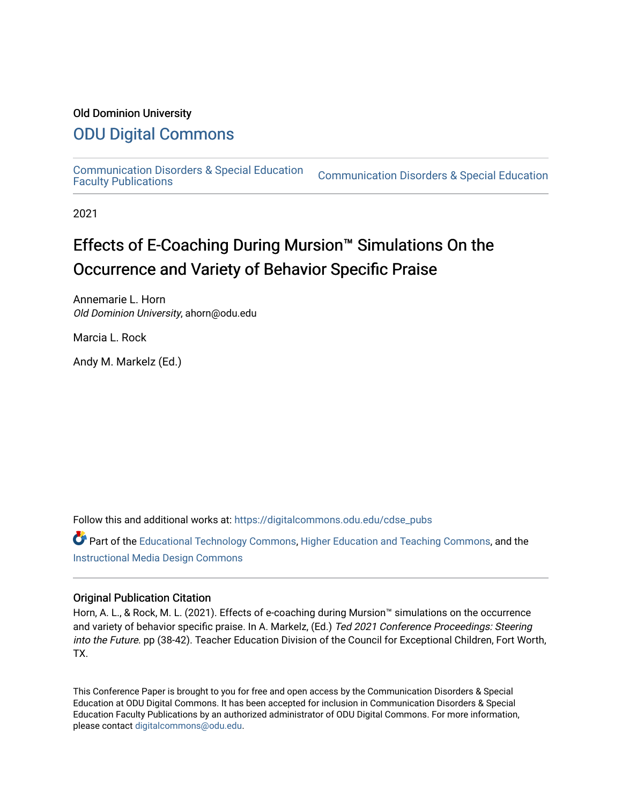# Old Dominion University

# [ODU Digital Commons](https://digitalcommons.odu.edu/)

[Communication Disorders & Special Education](https://digitalcommons.odu.edu/cdse_pubs) 

**Communication Disorders & Special Education** 

2021

# Effects of E-Coaching During Mursion™ Simulations On the Occurrence and Variety of Behavior Specific Praise

Annemarie L. Horn Old Dominion University, ahorn@odu.edu

Marcia L. Rock

Andy M. Markelz (Ed.)

Follow this and additional works at: [https://digitalcommons.odu.edu/cdse\\_pubs](https://digitalcommons.odu.edu/cdse_pubs?utm_source=digitalcommons.odu.edu%2Fcdse_pubs%2F70&utm_medium=PDF&utm_campaign=PDFCoverPages) 

Part of the [Educational Technology Commons,](http://network.bepress.com/hgg/discipline/1415?utm_source=digitalcommons.odu.edu%2Fcdse_pubs%2F70&utm_medium=PDF&utm_campaign=PDFCoverPages) [Higher Education and Teaching Commons,](http://network.bepress.com/hgg/discipline/806?utm_source=digitalcommons.odu.edu%2Fcdse_pubs%2F70&utm_medium=PDF&utm_campaign=PDFCoverPages) and the [Instructional Media Design Commons](http://network.bepress.com/hgg/discipline/795?utm_source=digitalcommons.odu.edu%2Fcdse_pubs%2F70&utm_medium=PDF&utm_campaign=PDFCoverPages)

#### Original Publication Citation

Horn, A. L., & Rock, M. L. (2021). Effects of e-coaching during Mursion™ simulations on the occurrence and variety of behavior specific praise. In A. Markelz, (Ed.) Ted 2021 Conference Proceedings: Steering into the Future. pp (38-42). Teacher Education Division of the Council for Exceptional Children, Fort Worth, TX.

This Conference Paper is brought to you for free and open access by the Communication Disorders & Special Education at ODU Digital Commons. It has been accepted for inclusion in Communication Disorders & Special Education Faculty Publications by an authorized administrator of ODU Digital Commons. For more information, please contact [digitalcommons@odu.edu](mailto:digitalcommons@odu.edu).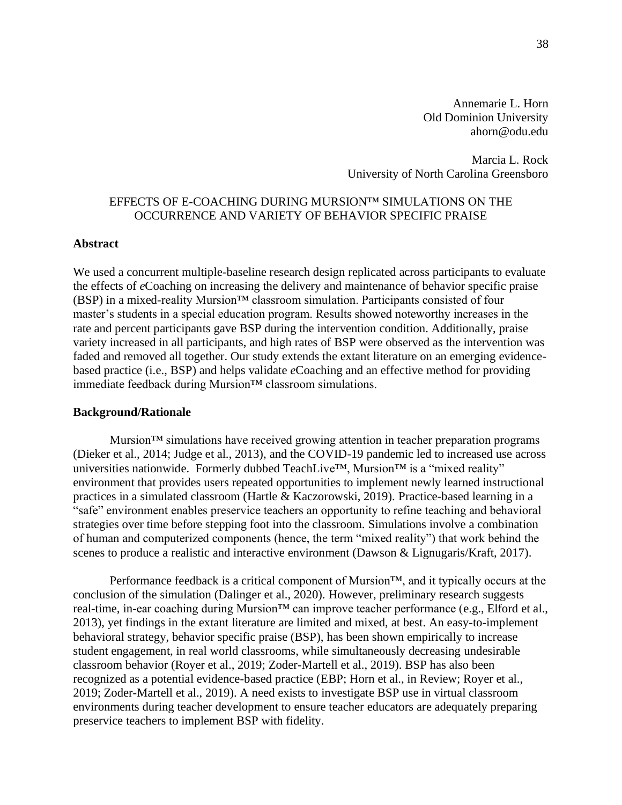Annemarie L. Horn Old Dominion University ahorn@odu.edu

Marcia L. Rock University of North Carolina Greensboro

# EFFECTS OF E-COACHING DURING MURSION™ SIMULATIONS ON THE OCCURRENCE AND VARIETY OF BEHAVIOR SPECIFIC PRAISE

#### **Abstract**

We used a concurrent multiple-baseline research design replicated across participants to evaluate the effects of *e*Coaching on increasing the delivery and maintenance of behavior specific praise (BSP) in a mixed-reality Mursion™ classroom simulation. Participants consisted of four master's students in a special education program. Results showed noteworthy increases in the rate and percent participants gave BSP during the intervention condition. Additionally, praise variety increased in all participants, and high rates of BSP were observed as the intervention was faded and removed all together. Our study extends the extant literature on an emerging evidencebased practice (i.e., BSP) and helps validate *e*Coaching and an effective method for providing immediate feedback during Mursion™ classroom simulations.

#### **Background/Rationale**

Mursion<sup> $TM$ </sup> simulations have received growing attention in teacher preparation programs (Dieker et al., 2014; Judge et al., 2013), and the COVID-19 pandemic led to increased use across universities nationwide. Formerly dubbed TeachLive™, Mursion™ is a "mixed reality" environment that provides users repeated opportunities to implement newly learned instructional practices in a simulated classroom (Hartle & Kaczorowski, 2019). Practice-based learning in a "safe" environment enables preservice teachers an opportunity to refine teaching and behavioral strategies over time before stepping foot into the classroom. Simulations involve a combination of human and computerized components (hence, the term "mixed reality") that work behind the scenes to produce a realistic and interactive environment (Dawson & Lignugaris/Kraft, 2017).

Performance feedback is a critical component of Mursion<sup>™</sup>, and it typically occurs at the conclusion of the simulation (Dalinger et al., 2020). However, preliminary research suggests real-time, in-ear coaching during Mursion™ can improve teacher performance (e.g., Elford et al., 2013), yet findings in the extant literature are limited and mixed, at best. An easy-to-implement behavioral strategy, behavior specific praise (BSP), has been shown empirically to increase student engagement, in real world classrooms, while simultaneously decreasing undesirable classroom behavior (Royer et al., 2019; Zoder-Martell et al., 2019). BSP has also been recognized as a potential evidence-based practice (EBP; Horn et al., in Review; Royer et al., 2019; Zoder-Martell et al., 2019). A need exists to investigate BSP use in virtual classroom environments during teacher development to ensure teacher educators are adequately preparing preservice teachers to implement BSP with fidelity.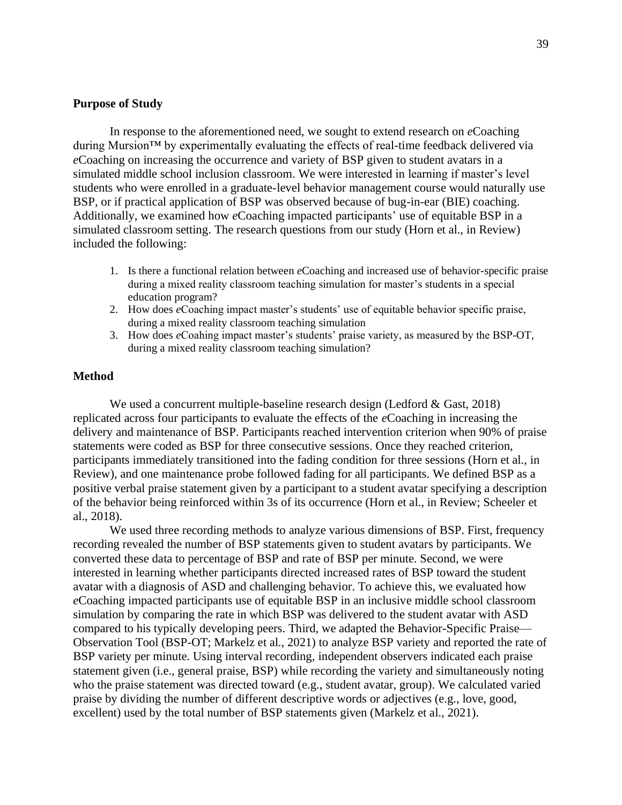# **Purpose of Study**

In response to the aforementioned need, we sought to extend research on *e*Coaching during Mursion™ by experimentally evaluating the effects of real-time feedback delivered via *e*Coaching on increasing the occurrence and variety of BSP given to student avatars in a simulated middle school inclusion classroom. We were interested in learning if master's level students who were enrolled in a graduate-level behavior management course would naturally use BSP, or if practical application of BSP was observed because of bug-in-ear (BIE) coaching. Additionally, we examined how *e*Coaching impacted participants' use of equitable BSP in a simulated classroom setting. The research questions from our study (Horn et al., in Review) included the following:

- 1. Is there a functional relation between *e*Coaching and increased use of behavior-specific praise during a mixed reality classroom teaching simulation for master's students in a special education program?
- 2. How does *e*Coaching impact master's students' use of equitable behavior specific praise, during a mixed reality classroom teaching simulation
- 3. How does *e*Coahing impact master's students' praise variety, as measured by the BSP-OT, during a mixed reality classroom teaching simulation?

# **Method**

We used a concurrent multiple-baseline research design (Ledford & Gast, 2018) replicated across four participants to evaluate the effects of the *e*Coaching in increasing the delivery and maintenance of BSP. Participants reached intervention criterion when 90% of praise statements were coded as BSP for three consecutive sessions. Once they reached criterion, participants immediately transitioned into the fading condition for three sessions (Horn et al., in Review), and one maintenance probe followed fading for all participants. We defined BSP as a positive verbal praise statement given by a participant to a student avatar specifying a description of the behavior being reinforced within 3s of its occurrence (Horn et al., in Review; Scheeler et al., 2018).

We used three recording methods to analyze various dimensions of BSP. First, frequency recording revealed the number of BSP statements given to student avatars by participants. We converted these data to percentage of BSP and rate of BSP per minute. Second, we were interested in learning whether participants directed increased rates of BSP toward the student avatar with a diagnosis of ASD and challenging behavior. To achieve this, we evaluated how *e*Coaching impacted participants use of equitable BSP in an inclusive middle school classroom simulation by comparing the rate in which BSP was delivered to the student avatar with ASD compared to his typically developing peers. Third, we adapted the Behavior-Specific Praise— Observation Tool (BSP-OT; Markelz et al., 2021) to analyze BSP variety and reported the rate of BSP variety per minute. Using interval recording, independent observers indicated each praise statement given (i.e., general praise, BSP) while recording the variety and simultaneously noting who the praise statement was directed toward (e.g., student avatar, group). We calculated varied praise by dividing the number of different descriptive words or adjectives (e.g., love, good, excellent) used by the total number of BSP statements given (Markelz et al., 2021).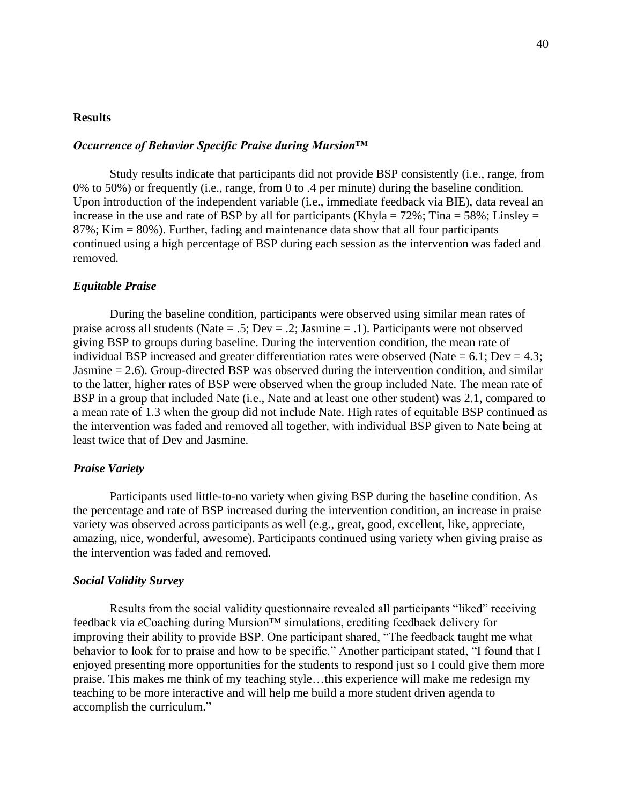#### **Results**

#### *Occurrence of Behavior Specific Praise during Mursion™*

Study results indicate that participants did not provide BSP consistently (i.e., range, from 0% to 50%) or frequently (i.e., range, from 0 to .4 per minute) during the baseline condition. Upon introduction of the independent variable (i.e., immediate feedback via BIE), data reveal an increase in the use and rate of BSP by all for participants (Khyla =  $72\%$ ; Tina =  $58\%$ ; Linsley = 87%; Kim = 80%). Further, fading and maintenance data show that all four participants continued using a high percentage of BSP during each session as the intervention was faded and removed.

### *Equitable Praise*

During the baseline condition, participants were observed using similar mean rates of praise across all students (Nate = .5; Dev = .2; Jasmine = .1). Participants were not observed giving BSP to groups during baseline. During the intervention condition, the mean rate of individual BSP increased and greater differentiation rates were observed (Nate =  $6.1$ ; Dev =  $4.3$ ; Jasmine = 2.6). Group-directed BSP was observed during the intervention condition, and similar to the latter, higher rates of BSP were observed when the group included Nate. The mean rate of BSP in a group that included Nate (i.e., Nate and at least one other student) was 2.1, compared to a mean rate of 1.3 when the group did not include Nate. High rates of equitable BSP continued as the intervention was faded and removed all together, with individual BSP given to Nate being at least twice that of Dev and Jasmine.

#### *Praise Variety*

Participants used little-to-no variety when giving BSP during the baseline condition. As the percentage and rate of BSP increased during the intervention condition, an increase in praise variety was observed across participants as well (e.g., great, good, excellent, like, appreciate, amazing, nice, wonderful, awesome). Participants continued using variety when giving praise as the intervention was faded and removed.

#### *Social Validity Survey*

Results from the social validity questionnaire revealed all participants "liked" receiving feedback via *e*Coaching during Mursion™ simulations, crediting feedback delivery for improving their ability to provide BSP. One participant shared, "The feedback taught me what behavior to look for to praise and how to be specific." Another participant stated, "I found that I enjoyed presenting more opportunities for the students to respond just so I could give them more praise. This makes me think of my teaching style…this experience will make me redesign my teaching to be more interactive and will help me build a more student driven agenda to accomplish the curriculum."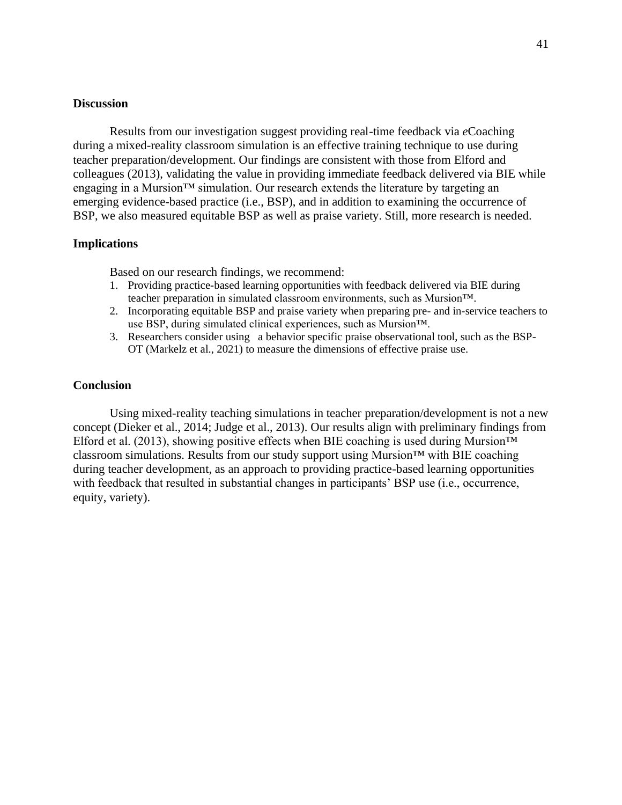### **Discussion**

Results from our investigation suggest providing real-time feedback via *e*Coaching during a mixed-reality classroom simulation is an effective training technique to use during teacher preparation/development. Our findings are consistent with those from Elford and colleagues (2013), validating the value in providing immediate feedback delivered via BIE while engaging in a Mursion™ simulation. Our research extends the literature by targeting an emerging evidence-based practice (i.e., BSP), and in addition to examining the occurrence of BSP, we also measured equitable BSP as well as praise variety. Still, more research is needed.

# **Implications**

Based on our research findings, we recommend:

- 1. Providing practice-based learning opportunities with feedback delivered via BIE during teacher preparation in simulated classroom environments, such as Mursion™.
- 2. Incorporating equitable BSP and praise variety when preparing pre- and in-service teachers to use BSP, during simulated clinical experiences, such as Mursion™.
- 3. Researchers consider using a behavior specific praise observational tool, such as the BSP-OT (Markelz et al., 2021) to measure the dimensions of effective praise use.

# **Conclusion**

Using mixed-reality teaching simulations in teacher preparation/development is not a new concept (Dieker et al., 2014; Judge et al., 2013). Our results align with preliminary findings from Elford et al. (2013), showing positive effects when BIE coaching is used during Mursion<sup>TM</sup> classroom simulations. Results from our study support using Mursion™ with BIE coaching during teacher development, as an approach to providing practice-based learning opportunities with feedback that resulted in substantial changes in participants' BSP use (i.e., occurrence, equity, variety).